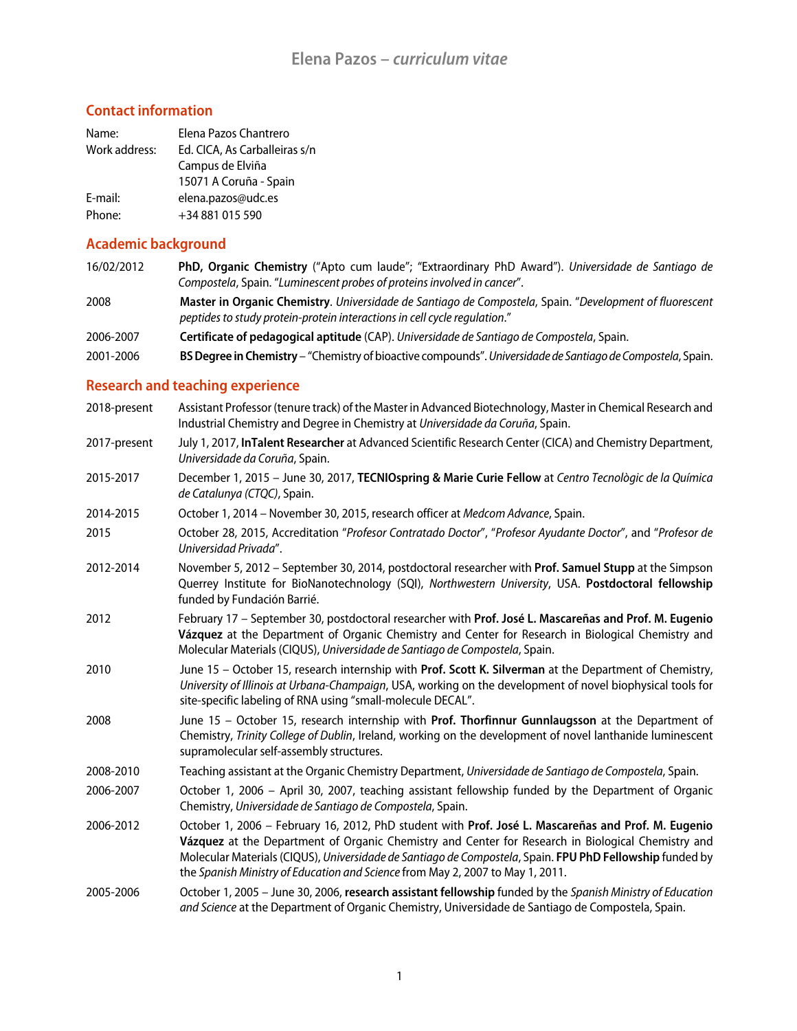# **Contact information**

| Name:         | Elena Pazos Chantrero         |
|---------------|-------------------------------|
| Work address: | Ed. CICA, As Carballeiras s/n |
|               | Campus de Elviña              |
|               | 15071 A Coruña - Spain        |
| E-mail:       | elena.pazos@udc.es            |
| Phone:        | +34 881 015 590               |

### **Academic background**

- 16/02/2012 **PhD, Organic Chemistry** ("Apto cum laude"; "Extraordinary PhD Award"). *Universidade de Santiago de Compostela*, Spain. "*Luminescent probes of proteins involved in cancer*".
- 2008 **Master in Organic Chemistry**. *Universidade de Santiago de Compostela*, Spain. "*Development of fluorescent peptides to study protein-protein interactions in cell cycle regulation*."
- 2006-2007 **Certificate of pedagogical aptitude** (CAP). *Universidade de Santiago de Compostela*, Spain.
- 2001-2006 **BS Degree in Chemistry** "Chemistry of bioactive compounds". *Universidade de Santiago de Compostela*, Spain.

#### **Research and teaching experience**

| 2018-present | Assistant Professor (tenure track) of the Master in Advanced Biotechnology, Master in Chemical Research and<br>Industrial Chemistry and Degree in Chemistry at Universidade da Coruña, Spain.                                                                                                                                                                                                           |
|--------------|---------------------------------------------------------------------------------------------------------------------------------------------------------------------------------------------------------------------------------------------------------------------------------------------------------------------------------------------------------------------------------------------------------|
| 2017-present | July 1, 2017, InTalent Researcher at Advanced Scientific Research Center (CICA) and Chemistry Department,<br>Universidade da Coruña, Spain.                                                                                                                                                                                                                                                             |
| 2015-2017    | December 1, 2015 - June 30, 2017, TECNIOspring & Marie Curie Fellow at Centro Tecnològic de la Química<br>de Catalunya (CTQC), Spain.                                                                                                                                                                                                                                                                   |
| 2014-2015    | October 1, 2014 - November 30, 2015, research officer at Medcom Advance, Spain.                                                                                                                                                                                                                                                                                                                         |
| 2015         | October 28, 2015, Accreditation "Profesor Contratado Doctor", "Profesor Ayudante Doctor", and "Profesor de<br>Universidad Privada".                                                                                                                                                                                                                                                                     |
| 2012-2014    | November 5, 2012 - September 30, 2014, postdoctoral researcher with Prof. Samuel Stupp at the Simpson<br>Querrey Institute for BioNanotechnology (SQI), Northwestern University, USA. Postdoctoral fellowship<br>funded by Fundación Barrié.                                                                                                                                                            |
| 2012         | February 17 - September 30, postdoctoral researcher with Prof. José L. Mascareñas and Prof. M. Eugenio<br>Vázquez at the Department of Organic Chemistry and Center for Research in Biological Chemistry and<br>Molecular Materials (CIQUS), Universidade de Santiago de Compostela, Spain.                                                                                                             |
| 2010         | June 15 - October 15, research internship with Prof. Scott K. Silverman at the Department of Chemistry,<br>University of Illinois at Urbana-Champaign, USA, working on the development of novel biophysical tools for<br>site-specific labeling of RNA using "small-molecule DECAL".                                                                                                                    |
| 2008         | June 15 - October 15, research internship with Prof. Thorfinnur Gunnlaugsson at the Department of<br>Chemistry, Trinity College of Dublin, Ireland, working on the development of novel lanthanide luminescent<br>supramolecular self-assembly structures.                                                                                                                                              |
| 2008-2010    | Teaching assistant at the Organic Chemistry Department, Universidade de Santiago de Compostela, Spain.                                                                                                                                                                                                                                                                                                  |
| 2006-2007    | October 1, 2006 - April 30, 2007, teaching assistant fellowship funded by the Department of Organic<br>Chemistry, Universidade de Santiago de Compostela, Spain.                                                                                                                                                                                                                                        |
| 2006-2012    | October 1, 2006 - February 16, 2012, PhD student with Prof. José L. Mascareñas and Prof. M. Eugenio<br>Vázquez at the Department of Organic Chemistry and Center for Research in Biological Chemistry and<br>Molecular Materials (CIQUS), Universidade de Santiago de Compostela, Spain. FPU PhD Fellowship funded by<br>the Spanish Ministry of Education and Science from May 2, 2007 to May 1, 2011. |
| 2005-2006    | October 1, 2005 - June 30, 2006, research assistant fellowship funded by the Spanish Ministry of Education<br>and Science at the Department of Organic Chemistry, Universidade de Santiago de Compostela, Spain.                                                                                                                                                                                        |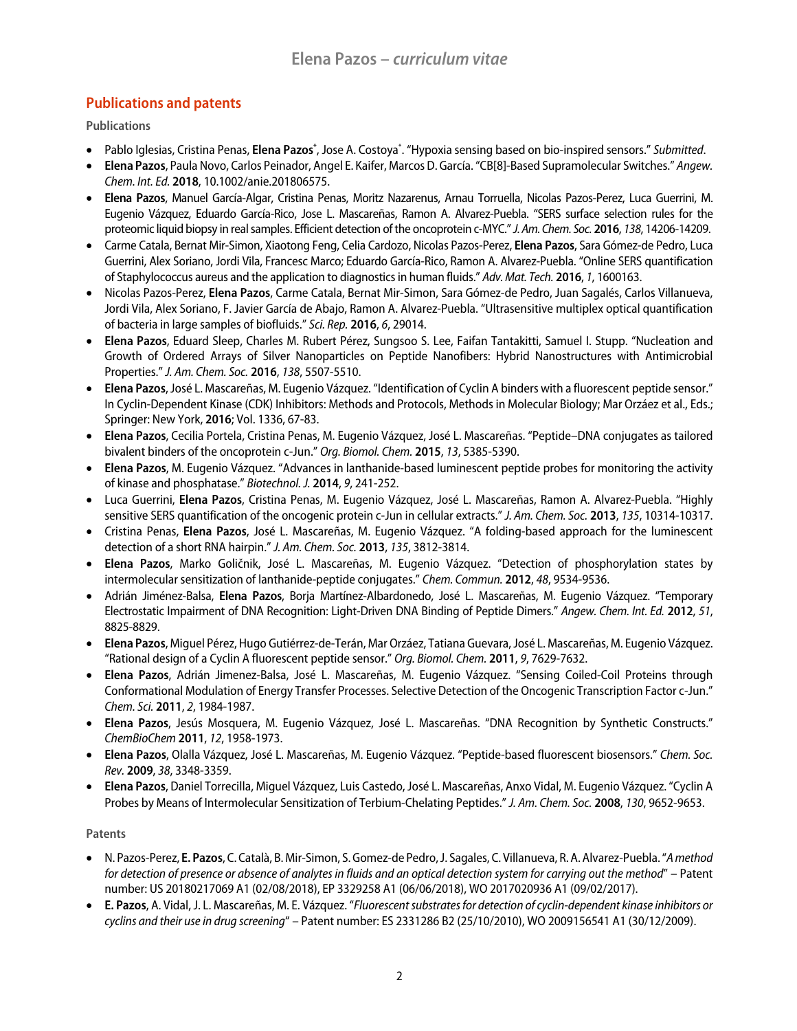# **Publications and patents**

**Publications** 

- Pablo Iglesias, Cristina Penas, Elena Pazos\*, Jose A. Costoya<sup>\*</sup>. "Hypoxia sensing based on bio-inspired sensors." Submitted.
- **Elena Pazos**, Paula Novo, Carlos Peinador, Angel E. Kaifer, Marcos D. García. "CB[8]-Based Supramolecular Switches." *Angew. Chem. Int. Ed.* **2018**, 10.1002/anie.201806575.
- **Elena Pazos**, Manuel García-Algar, Cristina Penas, Moritz Nazarenus, Arnau Torruella, Nicolas Pazos-Perez, Luca Guerrini, M. Eugenio Vázquez, Eduardo García-Rico, Jose L. Mascareñas, Ramon A. Alvarez-Puebla. "SERS surface selection rules for the proteomic liquid biopsy in real samples. Efficient detection of the oncoprotein c-MYC." *J. Am. Chem. Soc.* **2016**, *138*, 14206-14209.
- Carme Catala, Bernat Mir-Simon, Xiaotong Feng, Celia Cardozo, Nicolas Pazos-Perez, **Elena Pazos**, Sara Gómez-de Pedro, Luca Guerrini, Alex Soriano, Jordi Vila, Francesc Marco; Eduardo García-Rico, Ramon A. Alvarez-Puebla. "Online SERS quantification of Staphylococcus aureus and the application to diagnostics in human fluids." *Adv. Mat. Tech.* **2016**, *1*, 1600163.
- Nicolas Pazos-Perez, **Elena Pazos**, Carme Catala, Bernat Mir-Simon, Sara Gómez-de Pedro, Juan Sagalés, Carlos Villanueva, Jordi Vila, Alex Soriano, F. Javier García de Abajo, Ramon A. Alvarez-Puebla. "Ultrasensitive multiplex optical quantification of bacteria in large samples of biofluids." *Sci. Rep.* **2016**, *6*, 29014.
- **Elena Pazos**, Eduard Sleep, Charles M. Rubert Pérez, Sungsoo S. Lee, Faifan Tantakitti, Samuel I. Stupp. "Nucleation and Growth of Ordered Arrays of Silver Nanoparticles on Peptide Nanofibers: Hybrid Nanostructures with Antimicrobial Properties." *J. Am. Chem. Soc.* **2016**, *138*, 5507-5510.
- **Elena Pazos**, José L. Mascareñas, M. Eugenio Vázquez. "Identification of Cyclin A binders with a fluorescent peptide sensor." In Cyclin-Dependent Kinase (CDK) Inhibitors: Methods and Protocols, Methods in Molecular Biology; Mar Orzáez et al., Eds.; Springer: New York, **2016**; Vol. 1336, 67-83.
- **Elena Pazos**, Cecilia Portela, Cristina Penas, M. Eugenio Vázquez, José L. Mascareñas. "Peptide–DNA conjugates as tailored bivalent binders of the oncoprotein c-Jun." *Org. Biomol. Chem.* **2015**, *13*, 5385-5390.
- **Elena Pazos**, M. Eugenio Vázquez. "Advances in lanthanide-based luminescent peptide probes for monitoring the activity of kinase and phosphatase." *Biotechnol. J.* **2014**, *9*, 241-252.
- Luca Guerrini, **Elena Pazos**, Cristina Penas, M. Eugenio Vázquez, José L. Mascareñas, Ramon A. Alvarez-Puebla. "Highly sensitive SERS quantification of the oncogenic protein c-Jun in cellular extracts." *J. Am. Chem. Soc.* **2013**, *135*, 10314-10317.
- Cristina Penas, **Elena Pazos**, José L. Mascareñas, M. Eugenio Vázquez. "A folding-based approach for the luminescent detection of a short RNA hairpin." *J. Am. Chem. Soc.* **2013**, *135*, 3812-3814.
- **Elena Pazos**, Marko Goličnik, José L. Mascareñas, M. Eugenio Vázquez. "Detection of phosphorylation states by intermolecular sensitization of lanthanide-peptide conjugates." *Chem. Commun.* **2012**, *48*, 9534-9536.
- Adrián Jiménez-Balsa, **Elena Pazos**, Borja Martínez-Albardonedo, José L. Mascareñas, M. Eugenio Vázquez. "Temporary Electrostatic Impairment of DNA Recognition: Light-Driven DNA Binding of Peptide Dimers." *Angew. Chem. Int. Ed.* **2012**, *51*, 8825-8829.
- **Elena Pazos**, Miguel Pérez, Hugo Gutiérrez-de-Terán, Mar Orzáez, Tatiana Guevara, José L. Mascareñas, M. Eugenio Vázquez. "Rational design of a Cyclin A fluorescent peptide sensor." *Org. Biomol. Chem.* **2011**, *9*, 7629-7632.
- **Elena Pazos**, Adrián Jimenez-Balsa, José L. Mascareñas, M. Eugenio Vázquez. "Sensing Coiled-Coil Proteins through Conformational Modulation of Energy Transfer Processes. Selective Detection of the Oncogenic Transcription Factor c-Jun." *Chem. Sci.* **2011**, *2*, 1984-1987.
- **Elena Pazos**, Jesús Mosquera, M. Eugenio Vázquez, José L. Mascareñas. "DNA Recognition by Synthetic Constructs." *ChemBioChem* **2011**, *12*, 1958-1973.
- **Elena Pazos**, Olalla Vázquez, José L. Mascareñas, M. Eugenio Vázquez. "Peptide-based fluorescent biosensors." *Chem. Soc. Rev.* **2009**, *38*, 3348-3359.
- **Elena Pazos**, Daniel Torrecilla, Miguel Vázquez, Luis Castedo, José L. Mascareñas, Anxo Vidal, M. Eugenio Vázquez. "Cyclin A Probes by Means of Intermolecular Sensitization of Terbium-Chelating Peptides." *J. Am. Chem. Soc.* **2008**, *130*, 9652-9653.

**Patents**

- N. Pazos-Perez, **E. Pazos**, C. Català, B. Mir-Simon, S. Gomez-de Pedro, J. Sagales, C. Villanueva, R. A. Alvarez-Puebla. "*A method for detection of presence or absence of analytes in fluids and an optical detection system for carrying out the method*" – Patent number: US 20180217069 A1 (02/08/2018), EP 3329258 A1 (06/06/2018), WO 2017020936 A1 (09/02/2017).
- **E. Pazos**, A. Vidal, J. L. Mascareñas, M. E. Vázquez. "*Fluorescent substrates for detection of cyclin-dependent kinase inhibitors or cyclins and their use in drug screening*" – Patent number: ES 2331286 B2 (25/10/2010), WO 2009156541 A1 (30/12/2009).